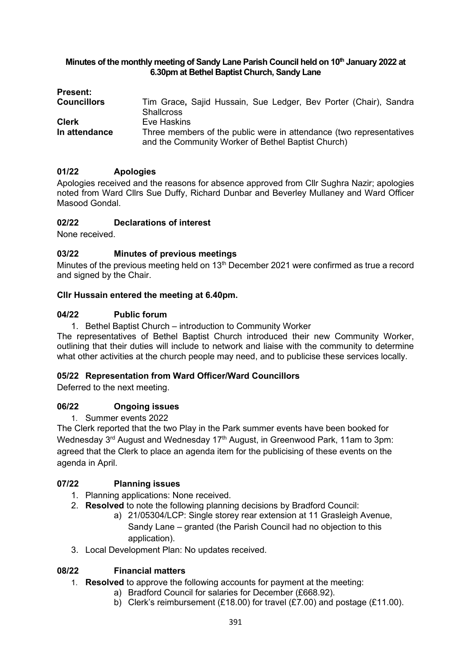### **Minutes of the monthly meeting of Sandy Lane Parish Council held on 10 th January 2022 at 6.30pm at Bethel Baptist Church, Sandy Lane**

| <b>Present:</b>    |                                                                     |
|--------------------|---------------------------------------------------------------------|
| <b>Councillors</b> | Tim Grace, Sajid Hussain, Sue Ledger, Bev Porter (Chair), Sandra    |
|                    | <b>Shallcross</b>                                                   |
| <b>Clerk</b>       | Eve Haskins                                                         |
| In attendance      | Three members of the public were in attendance (two representatives |
|                    | and the Community Worker of Bethel Baptist Church)                  |

# **01/22 Apologies**

Apologies received and the reasons for absence approved from Cllr Sughra Nazir; apologies noted from Ward Cllrs Sue Duffy, Richard Dunbar and Beverley Mullaney and Ward Officer Masood Gondal.

# **02/22 Declarations of interest**

None received.

### **03/22 Minutes of previous meetings**

Minutes of the previous meeting held on 13<sup>th</sup> December 2021 were confirmed as true a record and signed by the Chair.

### **Cllr Hussain entered the meeting at 6.40pm.**

### **04/22 Public forum**

1. Bethel Baptist Church – introduction to Community Worker

The representatives of Bethel Baptist Church introduced their new Community Worker, outlining that their duties will include to network and liaise with the community to determine what other activities at the church people may need, and to publicise these services locally.

### **05/22 Representation from Ward Officer/Ward Councillors**

Deferred to the next meeting.

# **06/22 Ongoing issues**

1. Summer events 2022

The Clerk reported that the two Play in the Park summer events have been booked for Wednesday 3<sup>rd</sup> August and Wednesday 17<sup>th</sup> August, in Greenwood Park, 11am to 3pm: agreed that the Clerk to place an agenda item for the publicising of these events on the agenda in April.

# **07/22 Planning issues**

- 1. Planning applications: None received.
- 2. **Resolved** to note the following planning decisions by Bradford Council:
	- a) 21/05304/LCP: Single storey rear extension at 11 Grasleigh Avenue, Sandy Lane – granted (the Parish Council had no objection to this application).
- 3. Local Development Plan: No updates received.

### **08/22 Financial matters**

- 1. **Resolved** to approve the following accounts for payment at the meeting:
	- a) Bradford Council for salaries for December (£668.92).
		- b) Clerk's reimbursement (£18.00) for travel (£7.00) and postage (£11.00).